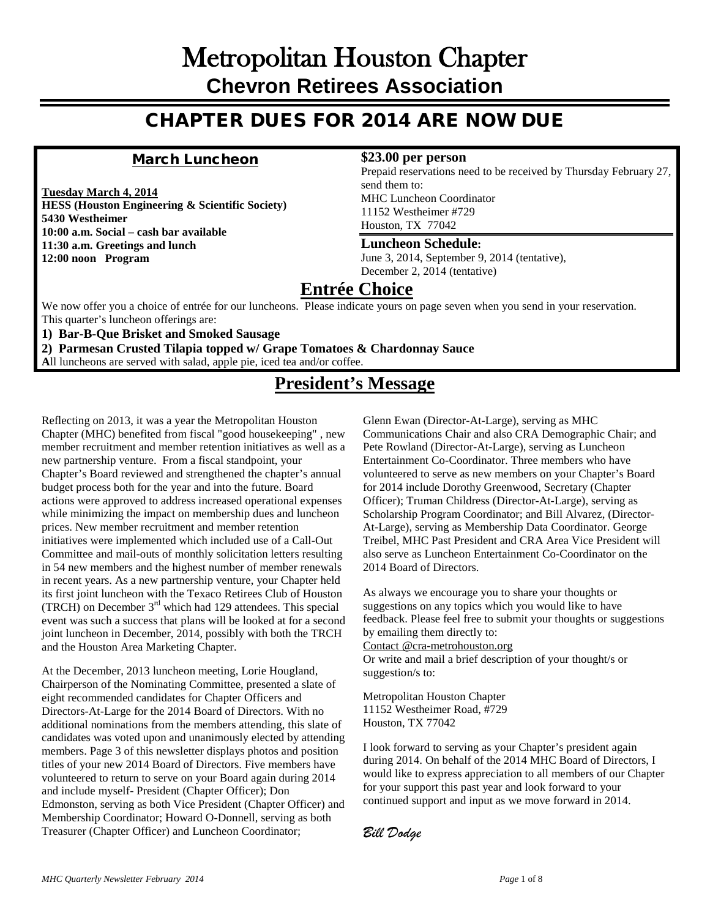## Metropolitan Houston Chapter **Chevron Retirees Association**

## CHAPTER DUES FOR 2014 ARE NOW DUE

### March Luncheon

**Tuesday March 4, 2014**

**HESS (Houston Engineering & Scientific Society) 5430 Westheimer 10:00 a.m. Social – cash bar available 11:30 a.m. Greetings and lunch 12:00 noon Program**

#### **\$23.00 per person**

Prepaid reservations need to be received by Thursday February 27, send them to: MHC Luncheon Coordinator 11152 Westheimer #729 Houston, TX 77042

#### **Luncheon Schedule:**

June 3, 2014, September 9, 2014 (tentative), December 2, 2014 (tentative)

## **Entrée Choice**

We now offer you a choice of entrée for our luncheons. Please indicate yours on page seven when you send in your reservation. This quarter's luncheon offerings are:

**1) Bar-B-Que Brisket and Smoked Sausage**

**2) Parmesan Crusted Tilapia topped w/ Grape Tomatoes & Chardonnay Sauce**

**A**ll luncheons are served with salad, apple pie, iced tea and/or coffee.

## **President's Message**

Reflecting on 2013, it was a year the Metropolitan Houston Chapter (MHC) benefited from fiscal "good housekeeping" , new member recruitment and member retention initiatives as well as a new partnership venture. From a fiscal standpoint, your Chapter's Board reviewed and strengthened the chapter's annual budget process both for the year and into the future. Board actions were approved to address increased operational expenses while minimizing the impact on membership dues and luncheon prices. New member recruitment and member retention initiatives were implemented which included use of a Call-Out Committee and mail-outs of monthly solicitation letters resulting in 54 new members and the highest number of member renewals in recent years. As a new partnership venture, your Chapter held its first joint luncheon with the Texaco Retirees Club of Houston (TRCH) on December 3rd which had 129 attendees. This special event was such a success that plans will be looked at for a second joint luncheon in December, 2014, possibly with both the TRCH and the Houston Area Marketing Chapter.

At the December, 2013 luncheon meeting, Lorie Hougland, Chairperson of the Nominating Committee, presented a slate of eight recommended candidates for Chapter Officers and Directors-At-Large for the 2014 Board of Directors. With no additional nominations from the members attending, this slate of candidates was voted upon and unanimously elected by attending members. Page 3 of this newsletter displays photos and position titles of your new 2014 Board of Directors. Five members have volunteered to return to serve on your Board again during 2014 and include myself- President (Chapter Officer); Don Edmonston, serving as both Vice President (Chapter Officer) and Membership Coordinator; Howard O-Donnell, serving as both Treasurer (Chapter Officer) and Luncheon Coordinator;

Glenn Ewan (Director-At-Large), serving as MHC Communications Chair and also CRA Demographic Chair; and Pete Rowland (Director-At-Large), serving as Luncheon Entertainment Co-Coordinator. Three members who have volunteered to serve as new members on your Chapter's Board for 2014 include Dorothy Greenwood, Secretary (Chapter Officer); Truman Childress (Director-At-Large), serving as Scholarship Program Coordinator; and Bill Alvarez, (Director-At-Large), serving as Membership Data Coordinator. George Treibel, MHC Past President and CRA Area Vice President will also serve as Luncheon Entertainment Co-Coordinator on the 2014 Board of Directors.

As always we encourage you to share your thoughts or suggestions on any topics which you would like to have feedback. Please feel free to submit your thoughts or suggestions by emailing them directly to:

Contact @cra-metrohouston.org

Or write and mail a brief description of your thought/s or suggestion/s to:

Metropolitan Houston Chapter 11152 Westheimer Road, #729 Houston, TX 77042

I look forward to serving as your Chapter's president again during 2014. On behalf of the 2014 MHC Board of Directors, I would like to express appreciation to all members of our Chapter for your support this past year and look forward to your continued support and input as we move forward in 2014.

*Bill Dodge*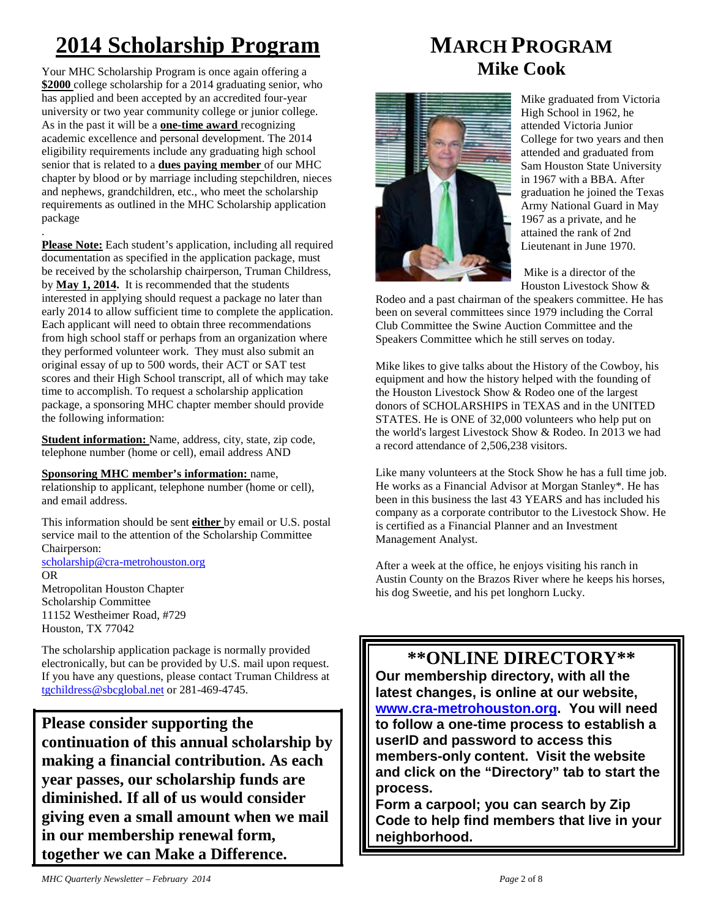# **2014 Scholarship Program**

Your MHC Scholarship Program is once again offering a **\$2000** college scholarship for a 2014 graduating senior, who has applied and been accepted by an accredited four-year university or two year community college or junior college. As in the past it will be a **one-time award** recognizing academic excellence and personal development. The 2014 eligibility requirements include any graduating high school senior that is related to a **dues paying member** of our MHC chapter by blood or by marriage including stepchildren, nieces and nephews, grandchildren, etc., who meet the scholarship requirements as outlined in the MHC Scholarship application package

. **Please Note:** Each student's application, including all required documentation as specified in the application package, must be received by the scholarship chairperson, Truman Childress, by **May 1, 2014.** It is recommended that the students interested in applying should request a package no later than early 2014 to allow sufficient time to complete the application. Each applicant will need to obtain three recommendations from high school staff or perhaps from an organization where they performed volunteer work. They must also submit an original essay of up to 500 words, their ACT or SAT test scores and their High School transcript, all of which may take time to accomplish. To request a scholarship application package, a sponsoring MHC chapter member should provide the following information:

**Student information:** Name, address, city, state, zip code, telephone number (home or cell), email address AND

#### **Sponsoring MHC member's information:** name,

relationship to applicant, telephone number (home or cell), and email address.

This information should be sent **either** by email or U.S. postal service mail to the attention of the Scholarship Committee Chairperson: [scholarship@cra-metrohouston.org](mailto:scholarship@cra-metrohouston.org)

OR Metropolitan Houston Chapter Scholarship Committee 11152 Westheimer Road, #729

Houston, TX 77042

The scholarship application package is normally provided electronically, but can be provided by U.S. mail upon request. If you have any questions, please contact Truman Childress at [tgchildress@sbcglobal.net](mailto:tgchildress@sbcglobal.net) or 281-469-4745.

**Please consider supporting the continuation of this annual scholarship by making a financial contribution. As each year passes, our scholarship funds are diminished. If all of us would consider giving even a small amount when we mail in our membership renewal form, together we can Make a Difference.** 

## **MARCH PROGRAM Mike Cook**



Mike graduated from Victoria High School in 1962, he attended Victoria Junior College for two years and then attended and graduated from Sam Houston State University in 1967 with a BBA. After graduation he joined the Texas Army National Guard in May 1967 as a private, and he attained the rank of 2nd Lieutenant in June 1970.

Mike is a director of the Houston Livestock Show &

Rodeo and a past chairman of the speakers committee. He has been on several committees since 1979 including the Corral Club Committee the Swine Auction Committee and the Speakers Committee which he still serves on today.

Mike likes to give talks about the History of the Cowboy, his equipment and how the history helped with the founding of the Houston Livestock Show & Rodeo one of the largest donors of SCHOLARSHIPS in TEXAS and in the UNITED STATES. He is ONE of 32,000 volunteers who help put on the world's largest Livestock Show & Rodeo. In 2013 we had a record attendance of 2,506,238 visitors.

Like many volunteers at the Stock Show he has a full time job. He works as a Financial Advisor at Morgan Stanley\*. He has been in this business the last 43 YEARS and has included his company as a corporate contributor to the Livestock Show. He is certified as a Financial Planner and an Investment Management Analyst.

After a week at the office, he enjoys visiting his ranch in Austin County on the Brazos River where he keeps his horses, his dog Sweetie, and his pet longhorn Lucky.

**\*\*ONLINE DIRECTORY\*\* Our membership directory, with all the latest changes, is online at our website, [www.cra-metrohouston.org.](http://www.cra-metrohouston.org/) You will need to follow a one-time process to establish a userID and password to access this members-only content. Visit the website and click on the "Directory" tab to start the process.** 

**Form a carpool; you can search by Zip Code to help find members that live in your neighborhood.**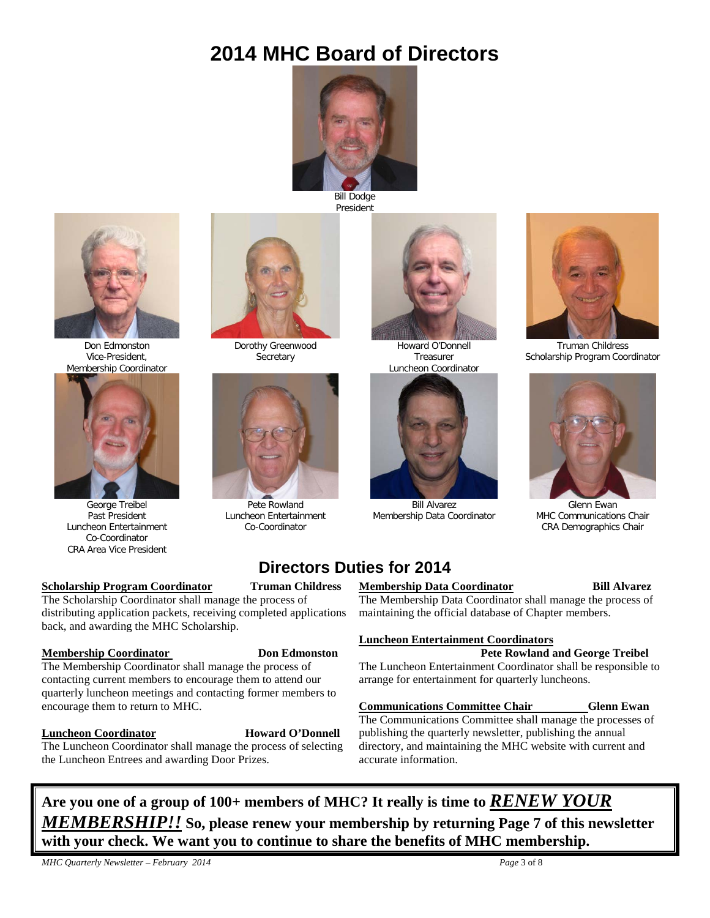## **2014 MHC Board of Directors**



Bill Dodge President



Don Edmonston Vice-President, Membership Coordinator



George Treibel Past President Luncheon Entertainment Co-Coordinator CRA Area Vice President

#### **<u>Scholarship Program Coordinator</u> Truman Childress**

The Scholarship Coordinator shall manage the process of distributing application packets, receiving completed applications back, and awarding the MHC Scholarship.

#### **Membership Coordinator Constants Don Edmonston**

The Membership Coordinator shall manage the process of contacting current members to encourage them to attend our quarterly luncheon meetings and contacting former members to encourage them to return to MHC.

**Luncheon Coordinator Howard O'Donnell** The Luncheon Coordinator shall manage the process of selecting

#### the Luncheon Entrees and awarding Door Prizes.



Howard O'Donnell Treasurer Luncheon Coordinator



Bill Alvarez Membership Data Coordinator



Truman Childress Scholarship Program Coordinator



Glenn Ewan MHC Communications Chair CRA Demographics Chair

## **Directors Duties for 2014**

Dorothy Greenwood **Secretary** 

Pete Rowland Luncheon Entertainment Co-Coordinator

#### **Membership Data Coordinator Bill Alvarez**

The Membership Data Coordinator shall manage the process of maintaining the official database of Chapter members.

#### **Luncheon Entertainment Coordinators**

#### **Pete Rowland and George Treibel**

The Luncheon Entertainment Coordinator shall be responsible to arrange for entertainment for quarterly luncheons.

#### **Communications Committee Chair Glenn Ewan**

The Communications Committee shall manage the processes of publishing the quarterly newsletter, publishing the annual directory, and maintaining the MHC website with current and accurate information.

**Are you one of a group of 100+ members of MHC? It really is time to** *RENEW YOUR MEMBERSHIP!!* **So, please renew your membership by returning Page 7 of this newsletter with your check. We want you to continue to share the benefits of MHC membership.**

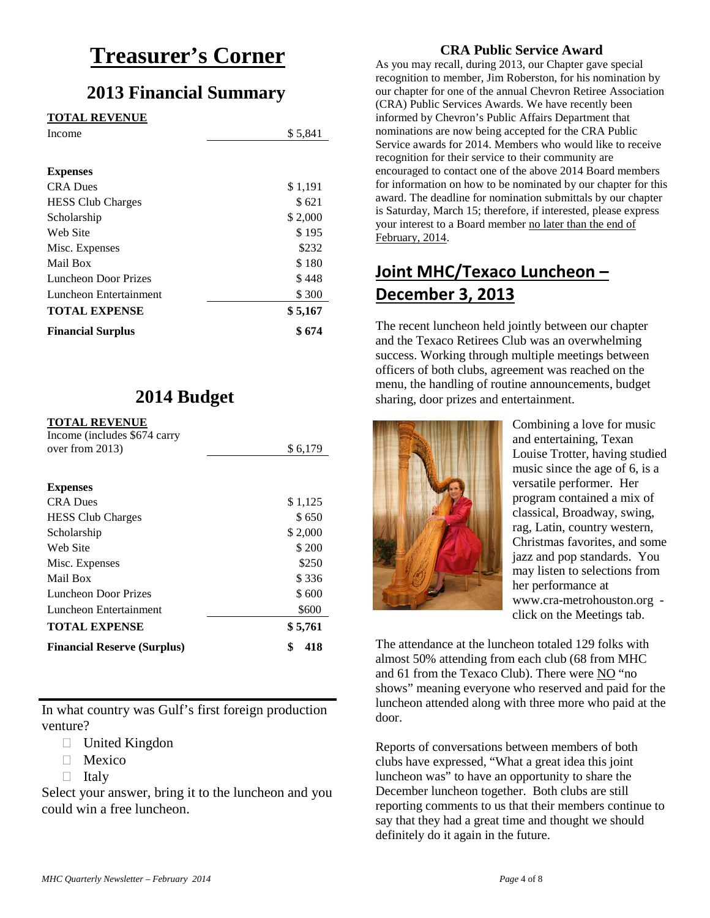## **Treasurer's Corner**

## **2013 Financial Summary**

#### **TOTAL REVENUE**

| Income                   | \$5,841 |
|--------------------------|---------|
|                          |         |
| <b>Expenses</b>          |         |
| <b>CRA</b> Dues          | \$1,191 |
| <b>HESS Club Charges</b> | \$621   |
| Scholarship              | \$2,000 |
| Web Site                 | \$195   |
| Misc. Expenses           | \$232   |
| Mail Box                 | \$180   |
| Luncheon Door Prizes     | \$448   |
| Luncheon Entertainment   | \$300   |
| <b>TOTAL EXPENSE</b>     | \$5,167 |
| <b>Financial Surplus</b> | \$674   |

## **2014 Budget**

#### **TOTAL DEVENUE**

| \$6,179   |
|-----------|
|           |
|           |
| \$1,125   |
| \$650     |
| \$2,000   |
| \$200     |
| \$250     |
| \$336     |
| \$600     |
| \$600     |
| \$5,761   |
| \$<br>418 |
|           |

In what country was Gulf's first foreign production venture?

- □ United Kingdon
- □ Mexico
- $\Box$  Italy

Select your answer, bring it to the luncheon and you could win a free luncheon.

#### **CRA Public Service Award**

As you may recall, during 2013, our Chapter gave special recognition to member, Jim Roberston, for his nomination by our chapter for one of the annual Chevron Retiree Association (CRA) Public Services Awards. We have recently been informed by Chevron's Public Affairs Department that nominations are now being accepted for the CRA Public Service awards for 2014. Members who would like to receive recognition for their service to their community are encouraged to contact one of the above 2014 Board members for information on how to be nominated by our chapter for this award. The deadline for nomination submittals by our chapter is Saturday, March 15; therefore, if interested, please express your interest to a Board member no later than the end of February, 2014.

## **Joint MHC/Texaco Luncheon – December 3, 2013**

The recent luncheon held jointly between our chapter and the Texaco Retirees Club was an overwhelming success. Working through multiple meetings between officers of both clubs, agreement was reached on the menu, the handling of routine announcements, budget sharing, door prizes and entertainment.



Combining a love for music and entertaining, Texan Louise Trotter, having studied music since the age of 6, is a versatile performer. Her program contained a mix of classical, Broadway, swing, rag, Latin, country western, Christmas favorites, and some jazz and pop standards. You may listen to selections from her performance at [www.cra-metrohouston.org](http://www.cra-metrohouston.org/) click on the Meetings tab.

The attendance at the luncheon totaled 129 folks with almost 50% attending from each club (68 from MHC and 61 from the Texaco Club). There were NO "no shows" meaning everyone who reserved and paid for the luncheon attended along with three more who paid at the door.

Reports of conversations between members of both clubs have expressed, "What a great idea this joint luncheon was" to have an opportunity to share the December luncheon together. Both clubs are still reporting comments to us that their members continue to say that they had a great time and thought we should definitely do it again in the future.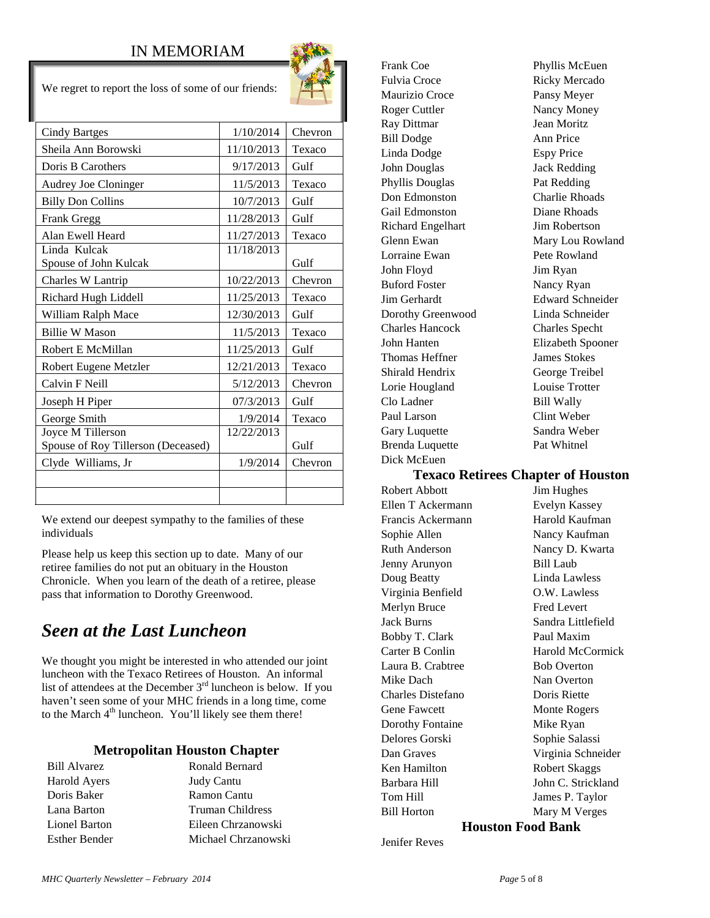#### IN MEMORIAM

 $W_{\alpha}$  regret to report the loss of some of our friends:

| We regiet to report the loss of some of our friends.    |            |         |
|---------------------------------------------------------|------------|---------|
| <b>Cindy Bartges</b>                                    | 1/10/2014  | Chevron |
| Sheila Ann Borowski                                     | 11/10/2013 | Texaco  |
| Doris B Carothers                                       | 9/17/2013  | Gulf    |
| <b>Audrey Joe Cloninger</b>                             | 11/5/2013  | Texaco  |
| <b>Billy Don Collins</b>                                | 10/7/2013  | Gulf    |
| Frank Gregg                                             | 11/28/2013 | Gulf    |
| Alan Ewell Heard                                        | 11/27/2013 | Texaco  |
| Linda Kulcak<br>Spouse of John Kulcak                   | 11/18/2013 | Gulf    |
| Charles W Lantrip                                       | 10/22/2013 | Chevron |
| Richard Hugh Liddell                                    | 11/25/2013 | Texaco  |
| William Ralph Mace                                      | 12/30/2013 | Gulf    |
| <b>Billie W Mason</b>                                   | 11/5/2013  | Texaco  |
| Robert E McMillan                                       | 11/25/2013 | Gulf    |
| Robert Eugene Metzler                                   | 12/21/2013 | Texaco  |
| Calvin F Neill                                          | 5/12/2013  | Chevron |
| Joseph H Piper                                          | 07/3/2013  | Gulf    |
| George Smith                                            | 1/9/2014   | Texaco  |
| Joyce M Tillerson<br>Spouse of Roy Tillerson (Deceased) | 12/22/2013 | Gulf    |
| Clyde Williams, Jr                                      | 1/9/2014   | Chevron |
|                                                         |            |         |

We extend our deepest sympathy to the families of these individuals

Please help us keep this section up to date. Many of our retiree families do not put an obituary in the Houston Chronicle. When you learn of the death of a retiree, please pass that information to Dorothy Greenwood.

## *Seen at the Last Luncheon*

We thought you might be interested in who attended our joint luncheon with the Texaco Retirees of Houston. An informal list of attendees at the December 3<sup>rd</sup> luncheon is below. If you haven't seen some of your MHC friends in a long time, come to the March 4<sup>th</sup> luncheon. You'll likely see them there!

#### **Metropolitan Houston Chapter**

Harold Ayers Judy Cantu

Bill Alvarez Ronald Bernard Doris Baker Ramon Cantu Lana Barton Truman Childress Lionel Barton Eileen Chrzanowski Esther Bender Michael Chrzanowski Frank Coe Phyllis McEuen Fulvia Croce Ricky Mercado Maurizio Croce Pansy Meyer Roger Cuttler Nancy Money Ray Dittmar Jean Moritz Bill Dodge Ann Price Linda Dodge Espy Price John Douglas Jack Redding Phyllis Douglas Pat Redding Don Edmonston Charlie Rhoads Gail Edmonston Diane Rhoads Richard Engelhart Jim Robertson Glenn Ewan Mary Lou Rowland Lorraine Ewan Pete Rowland John Floyd Jim Ryan Buford Foster Nancy Ryan Jim Gerhardt Edward Schneider Dorothy Greenwood Linda Schneider Charles Hancock Charles Specht John Hanten Elizabeth Spooner Thomas Heffner James Stokes Shirald Hendrix George Treibel Lorie Hougland Louise Trotter Clo Ladner Bill Wally Paul Larson Clint Weber Gary Luquette Sandra Weber Brenda Luquette Pat Whitnel Dick McEuen

#### **Texaco Retirees Chapter of Houston**

Robert Abbott Jim Hughes Ellen T Ackermann Evelyn Kassey Francis Ackermann Harold Kaufman Sophie Allen Nancy Kaufman Ruth Anderson Nancy D. Kwarta Jenny Arunyon Bill Laub Doug Beatty Linda Lawless Virginia Benfield O.W. Lawless Merlyn Bruce Fred Levert Jack Burns Sandra Littlefield Bobby T. Clark Paul Maxim Laura B. Crabtree Bob Overton Mike Dach Nan Overton Charles Distefano Doris Riette Gene Fawcett Monte Rogers Dorothy Fontaine Mike Ryan Delores Gorski Sophie Salassi Dan Graves Virginia Schneider Ken Hamilton Robert Skaggs Barbara Hill John C. Strickland Tom Hill James P. Taylor Bill Horton Mary M Verges

Carter B Conlin Harold McCormick

#### **Houston Food Bank**

Jenifer Reves